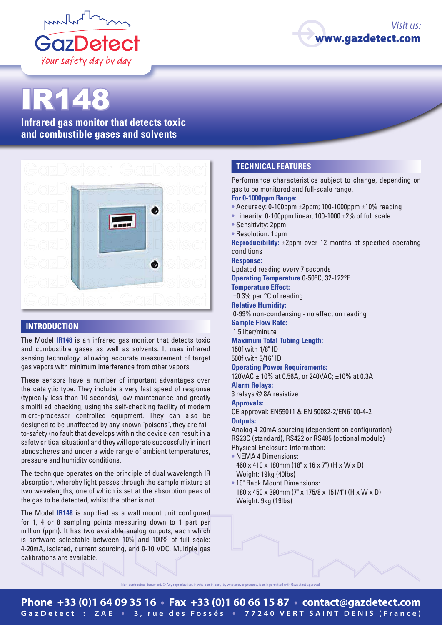



# IR148

**Infrared gas monitor that detects toxic and combustible gases and solvents**



## **INTRODUCTION**

The Model **IR148** is an infrared gas monitor that detects toxic and combustible gases as well as solvents. It uses infrared sensing technology, allowing accurate measurement of target gas vapors with minimum interference from other vapors.

These sensors have a number of important advantages over the catalytic type. They include a very fast speed of response (typically less than 10 seconds), low maintenance and greatly simplifi ed checking, using the self-checking facility of modern micro-processor controlled equipment. They can also be designed to be unaffected by any known "poisons", they are failto-safety (no fault that develops within the device can result in a safety critical situation) and they will operate successfully in inert atmospheres and under a wide range of ambient temperatures, pressure and humidity conditions.

The technique operates on the principle of dual wavelength IR absorption, whereby light passes through the sample mixture at two wavelengths, one of which is set at the absorption peak of the gas to be detected, whilst the other is not.

The Model **IR148** is supplied as a wall mount unit configured for 1, 4 or 8 sampling points measuring down to 1 part per million (ppm). It has two available analog outputs, each which is software selectable between 10% and 100% of full scale: 4-20mA, isolated, current sourcing, and 0-10 VDC. Multiple gas calibrations are available.

#### **TECHNICAL FEATURES**

Performance characteristics subject to change, depending on gas to be monitored and full-scale range.

#### **For 0-1000ppm Range:**

- **•** Accuracy: 0-100ppm ±2ppm; 100-1000ppm ±10% reading
- **•** Linearity: 0-100ppm linear, 100-1000 ±2% of full scale
- **•** Sensitivity: 2ppm
- **•** Resolution: 1ppm

**Reproducibility:** ±2ppm over 12 months at specified operating conditions

#### **Response:**

Updated reading every 7 seconds

**Operating Temperature** 0-50°C, 32-122°F

**Temperature Effect:**

±0.3% per °C of reading

# **Relative Humidity:**

0-99% non-condensing - no effect on reading

## **Sample Flow Rate:**

1.5 liter/minute

#### **Maximum Total Tubing Length:**

150f with 1/8" ID 500f with 3/16" ID

## **Operating Power Requirements:**

120VAC ± 10% at 0.56A, or 240VAC; ±10% at 0.3A

#### **Alarm Relays:**

3 relays @ 8A resistive

**Approvals:**

CE approval: EN55011 & EN 50082-2/EN6100-4-2 **Outputs:**

Analog 4-20mA sourcing (dependent on configuration) RS23C (standard), RS422 or RS485 (optional module) Physical Enclosure Information:

- **•** NEMA 4 Dimensions: 460 x 410 x 180mm (18" x 16 x 7") (H x W x D) Weight: 19kg (40lbs)
- **•** 19" Rack Mount Dimensions: 180 x 450 x 390mm (7" x 175/8 x 151/4") (H x W x D) Weight: 9kg (19lbs)

Non-contractual document. © Any reproduction, in whole or in part, by whatsoever process, is only permitted with Gazdetect approval.